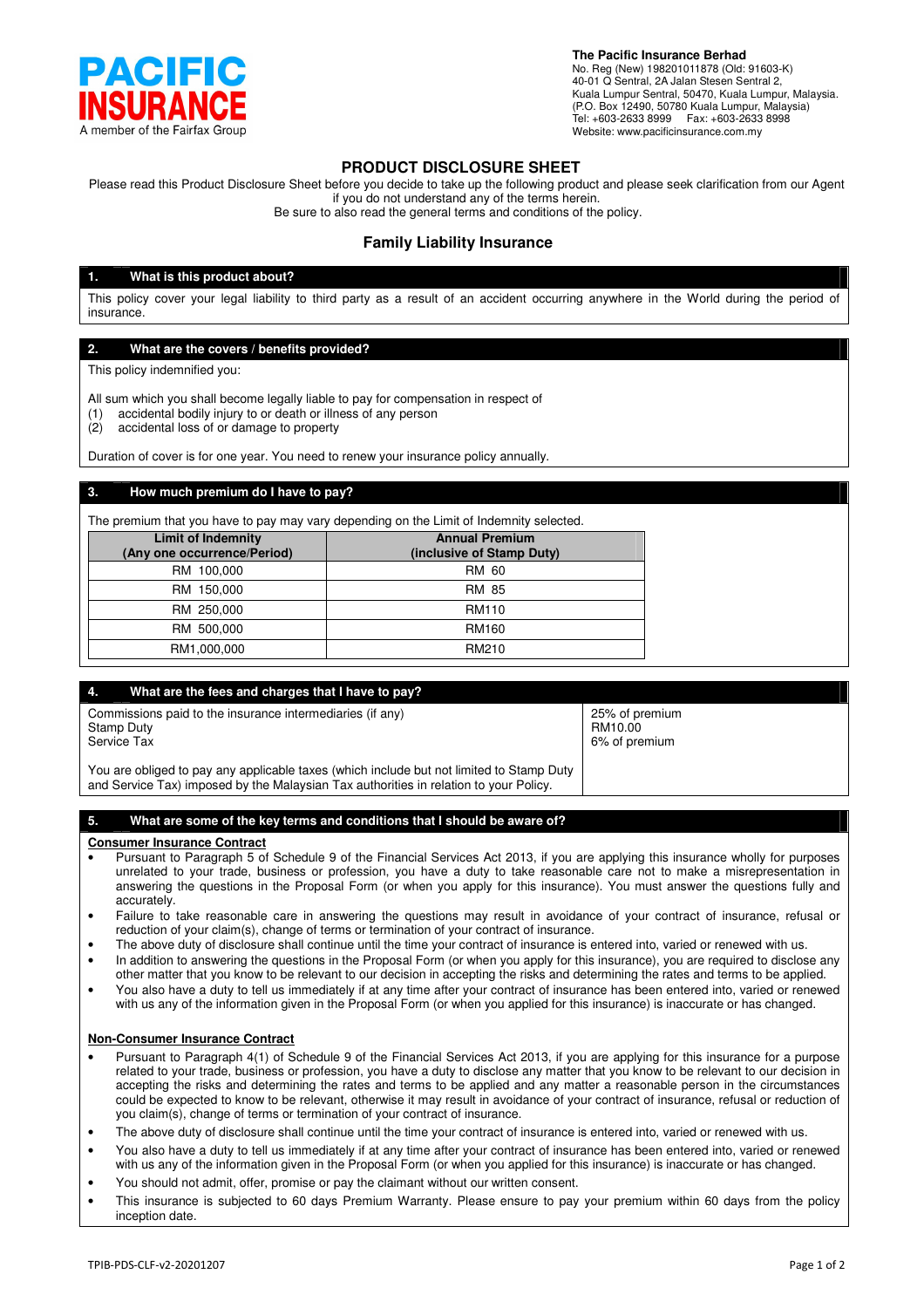

**The Pacific Insurance Berhad**

No. Reg (New) 198201011878 (Old: 91603-K) 40-01 Q Sentral, 2A Jalan Stesen Sentral 2, Kuala Lumpur Sentral, 50470, Kuala Lumpur, Malaysia. (P.O. Box 12490, 50780 Kuala Lumpur, Malaysia) Tel: +603-2633 8999 Fax: +603-2633 8998 Website: www.pacificinsurance.com.my

# **PRODUCT DISCLOSURE SHEET**

Please read this Product Disclosure Sheet before you decide to take up the following product and please seek clarification from our Agent if you do not understand any of the terms herein.

Be sure to also read the general terms and conditions of the policy.

# **Family Liability Insurance**

### **1. What is this product about?**

This policy cover your legal liability to third party as a result of an accident occurring anywhere in the World during the period of insurance.

# **2. What are the covers / benefits provided?**

This policy indemnified you:

All sum which you shall become legally liable to pay for compensation in respect of

- (1) accidental bodily injury to or death or illness of any person
- (2) accidental loss of or damage to property

Duration of cover is for one year. You need to renew your insurance policy annually.

# **3. How much premium do I have to pay?**

The premium that you have to pay may vary depending on the Limit of Indemnity selected.

| <b>Limit of Indemnity</b><br>(Any one occurrence/Period) | <b>Annual Premium</b><br>(inclusive of Stamp Duty) |  |
|----------------------------------------------------------|----------------------------------------------------|--|
| RM 100,000                                               | RM 60                                              |  |
| RM 150,000                                               | RM 85                                              |  |
| RM 250,000                                               | <b>RM110</b>                                       |  |
| RM 500,000                                               | RM160                                              |  |
| RM1,000,000                                              | RM210                                              |  |

| What are the fees and charges that I have to pay?<br>4.                                                                                                                           |                                            |
|-----------------------------------------------------------------------------------------------------------------------------------------------------------------------------------|--------------------------------------------|
| Commissions paid to the insurance intermediaries (if any)<br>Stamp Duty<br>Service Tax                                                                                            | 25% of premium<br>RM10.00<br>6% of premium |
| You are obliged to pay any applicable taxes (which include but not limited to Stamp Duty<br>and Service Tax) imposed by the Malaysian Tax authorities in relation to your Policy. |                                            |

### **5. What are some of the key terms and conditions that I should be aware of?**

### **Consumer Insurance Contract**

- Pursuant to Paragraph 5 of Schedule 9 of the Financial Services Act 2013, if you are applying this insurance wholly for purposes unrelated to your trade, business or profession, you have a duty to take reasonable care not to make a misrepresentation in answering the questions in the Proposal Form (or when you apply for this insurance). You must answer the questions fully and accurately.
- Failure to take reasonable care in answering the questions may result in avoidance of your contract of insurance, refusal or reduction of your claim(s), change of terms or termination of your contract of insurance.
- The above duty of disclosure shall continue until the time your contract of insurance is entered into, varied or renewed with us.
- In addition to answering the questions in the Proposal Form (or when you apply for this insurance), you are required to disclose any other matter that you know to be relevant to our decision in accepting the risks and determining the rates and terms to be applied.
- You also have a duty to tell us immediately if at any time after your contract of insurance has been entered into, varied or renewed with us any of the information given in the Proposal Form (or when you applied for this insurance) is inaccurate or has changed.

# **Non-Consumer Insurance Contract**

- Pursuant to Paragraph 4(1) of Schedule 9 of the Financial Services Act 2013, if you are applying for this insurance for a purpose related to your trade, business or profession, you have a duty to disclose any matter that you know to be relevant to our decision in accepting the risks and determining the rates and terms to be applied and any matter a reasonable person in the circumstances could be expected to know to be relevant, otherwise it may result in avoidance of your contract of insurance, refusal or reduction of you claim(s), change of terms or termination of your contract of insurance.
- The above duty of disclosure shall continue until the time your contract of insurance is entered into, varied or renewed with us.
- You also have a duty to tell us immediately if at any time after your contract of insurance has been entered into, varied or renewed with us any of the information given in the Proposal Form (or when you applied for this insurance) is inaccurate or has changed.
- You should not admit, offer, promise or pay the claimant without our written consent.
- This insurance is subjected to 60 days Premium Warranty. Please ensure to pay your premium within 60 days from the policy inception date.